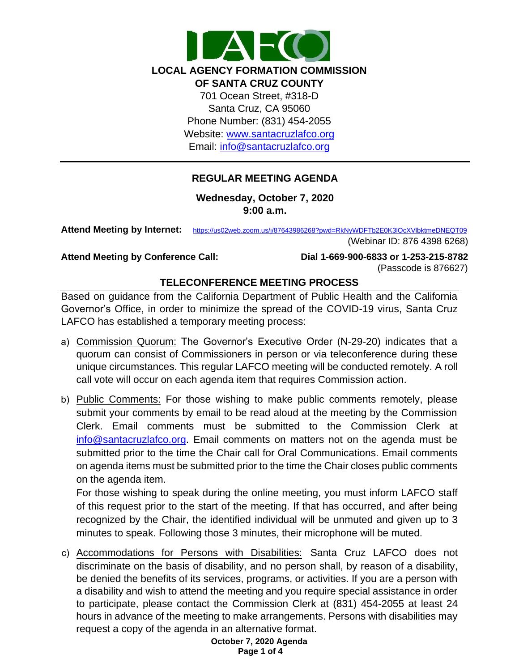

## **REGULAR MEETING AGENDA**

**Wednesday, October 7, 2020 9:00 a.m.** 

**Attend Meeting by Internet:** [https://us02web.zoom.us/j/87643986268?pwd=RkNyWDFTb2E0K3lOcXVlbktmeDNEQT](https://us02web.zoom.us/j/87643986268?pwd=RkNyWDFTb2E0K3lOcXVlbktmeDNEQT09)09

(Webinar ID: 876 4398 6268)

**Attend Meeting by Conference Call:** 

**Dial 1-669-900-6833 or 1-253-215-8782**  (Passcode is 876627)

## **TELECONFERENCE MEETING PROCESS**

Based on guidance from the California Department of Public Health and the California Governor's Office, in order to minimize the spread of the COVID-19 virus, Santa Cruz LAFCO has established a temporary meeting process:

- a) Commission Quorum: The Governor's Executive Order (N-29-20) indicates that a quorum can consist of Commissioners in person or via teleconference during these unique circumstances. This regular LAFCO meeting will be conducted remotely. A roll call vote will occur on each agenda item that requires Commission action.
- b) Public Comments: For those wishing to make public comments remotely, please submit your comments by email to be read aloud at the meeting by the Commission Clerk. Email comments must be submitted to the Commission Clerk at [info@santacruzlafco.org.](mailto:info@santacruzlafco.org) Email comments on matters not on the agenda must be submitted prior to the time the Chair call for Oral Communications. Email comments on agenda items must be submitted prior to the time the Chair closes public comments on the agenda item.

For those wishing to speak during the online meeting, you must inform LAFCO staff of this request prior to the start of the meeting. If that has occurred, and after being recognized by the Chair, the identified individual will be unmuted and given up to 3 minutes to speak. Following those 3 minutes, their microphone will be muted.

c) Accommodations for Persons with Disabilities: Santa Cruz LAFCO does not discriminate on the basis of disability, and no person shall, by reason of a disability, be denied the benefits of its services, programs, or activities. If you are a person with a disability and wish to attend the meeting and you require special assistance in order to participate, please contact the Commission Clerk at (831) 454-2055 at least 24 hours in advance of the meeting to make arrangements. Persons with disabilities may request a copy of the agenda in an alternative format.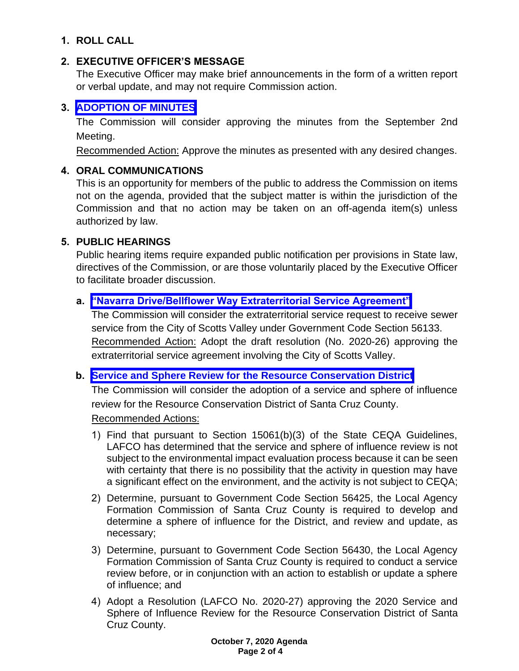# **1. ROLL CALL**

# **2. EXECUTIVE OFFICER'S MESSAGE**

The Executive Officer may make brief announcements in the form of a written report or verbal update, and may not require Commission action.

# **3. [ADOPTION OF MINUTES](https://www.santacruzlafco.org/wp-content/uploads/2020/09/3.0-Draft-Minutes-from-September-Meeting.pdf)**

The Commission will consider approving the minutes from the September 2nd Meeting.

Recommended Action: Approve the minutes as presented with any desired changes.

#### **4. ORAL COMMUNICATIONS**

This is an opportunity for members of the public to address the Commission on items not on the agenda, provided that the subject matter is within the jurisdiction of the Commission and that no action may be taken on an off-agenda item(s) unless authorized by law.

## **5. PUBLIC HEARINGS**

Public hearing items require expanded public notification per provisions in State law, directives of the Commission, or are those voluntarily placed by the Executive Officer to facilitate broader discussion.

## **a. ["Navarra Drive/Bellflower Way Extraterritorial Service Agreement"](https://www.santacruzlafco.org/wp-content/uploads/2020/09/5a.0-Extraterritorial-Serv-Agreement-Staff-Report.pdf)**

The Commission will consider the extraterritorial service request to receive sewer service from the City of Scotts Valley under Government Code Section 56133. Recommended Action: Adopt the draft resolution (No. 2020-26) approving the extraterritorial service agreement involving the City of Scotts Valley.

#### **b. [Service and Sphere Review for the Resource Conservation District](https://www.santacruzlafco.org/wp-content/uploads/2020/09/5b.0-RCD-MSR-Staff-Report.pdf)**

The Commission will consider the adoption of a service and sphere of influence review for the Resource Conservation District of Santa Cruz County.

#### Recommended Actions:

- 1) Find that pursuant to Section 15061(b)(3) of the State CEQA Guidelines, LAFCO has determined that the service and sphere of influence review is not subject to the environmental impact evaluation process because it can be seen with certainty that there is no possibility that the activity in question may have a significant effect on the environment, and the activity is not subject to CEQA;
- 2) Determine, pursuant to Government Code Section 56425, the Local Agency Formation Commission of Santa Cruz County is required to develop and determine a sphere of influence for the District, and review and update, as necessary;
- 3) Determine, pursuant to Government Code Section 56430, the Local Agency Formation Commission of Santa Cruz County is required to conduct a service review before, or in conjunction with an action to establish or update a sphere of influence; and
- 4) Adopt a Resolution (LAFCO No. 2020-27) approving the 2020 Service and Sphere of Influence Review for the Resource Conservation District of Santa Cruz County.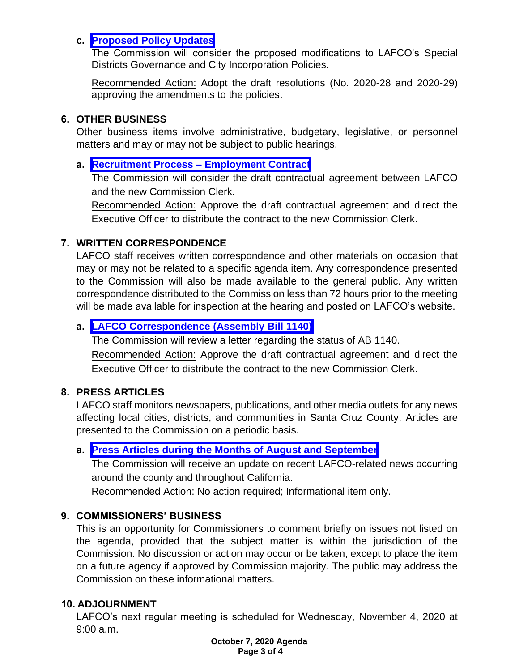#### **c. [Proposed Policy Updates](https://www.santacruzlafco.org/wp-content/uploads/2020/09/5c.0-Policy-Updates-Staff-Report.pdf)**

The Commission will consider the proposed modifications to LAFCO's Special Districts Governance and City Incorporation Policies.

Recommended Action: Adopt the draft resolutions (No. 2020-28 and 2020-29) approving the amendments to the policies.

#### **6. OTHER BUSINESS**

Other business items involve administrative, budgetary, legislative, or personnel matters and may or may not be subject to public hearings.

# **a. [Recruitment Process –](https://www.santacruzlafco.org/wp-content/uploads/2020/09/6a.0-Recruitment-Process-Staff-Report.pdf) Employment Contract**

The Commission will consider the draft contractual agreement between LAFCO and the new Commission Clerk.

Recommended Action: Approve the draft contractual agreement and direct the Executive Officer to distribute the contract to the new Commission Clerk.

## **7. WRITTEN CORRESPONDENCE**

LAFCO staff receives written correspondence and other materials on occasion that may or may not be related to a specific agenda item. Any correspondence presented to the Commission will also be made available to the general public. Any written correspondence distributed to the Commission less than 72 hours prior to the meeting will be made available for inspection at the hearing and posted on LAFCO's website.

# **a. [LAFCO Correspondence \(Assembly Bill 1140\)](https://www.santacruzlafco.org/wp-content/uploads/2020/09/7a.0-Written-Correspondence-Staff-Report.pdf)**

The Commission will review a letter regarding the status of AB 1140.

Recommended Action: Approve the draft contractual agreement and direct the Executive Officer to distribute the contract to the new Commission Clerk.

# **8. PRESS ARTICLES**

LAFCO staff monitors newspapers, publications, and other media outlets for any news affecting local cities, districts, and communities in Santa Cruz County. Articles are presented to the Commission on a periodic basis.

# **a. [Press Articles during the Months of August and September](https://www.santacruzlafco.org/wp-content/uploads/2020/09/8a.0-Press-Articles-Staff-Report.pdf)**

The Commission will receive an update on recent LAFCO-related news occurring around the county and throughout California.

Recommended Action: No action required; Informational item only.

# **9. COMMISSIONERS' BUSINESS**

This is an opportunity for Commissioners to comment briefly on issues not listed on the agenda, provided that the subject matter is within the jurisdiction of the Commission. No discussion or action may occur or be taken, except to place the item on a future agency if approved by Commission majority. The public may address the Commission on these informational matters.

# **10. ADJOURNMENT**

LAFCO's next regular meeting is scheduled for Wednesday, November 4, 2020 at 9:00 a.m.